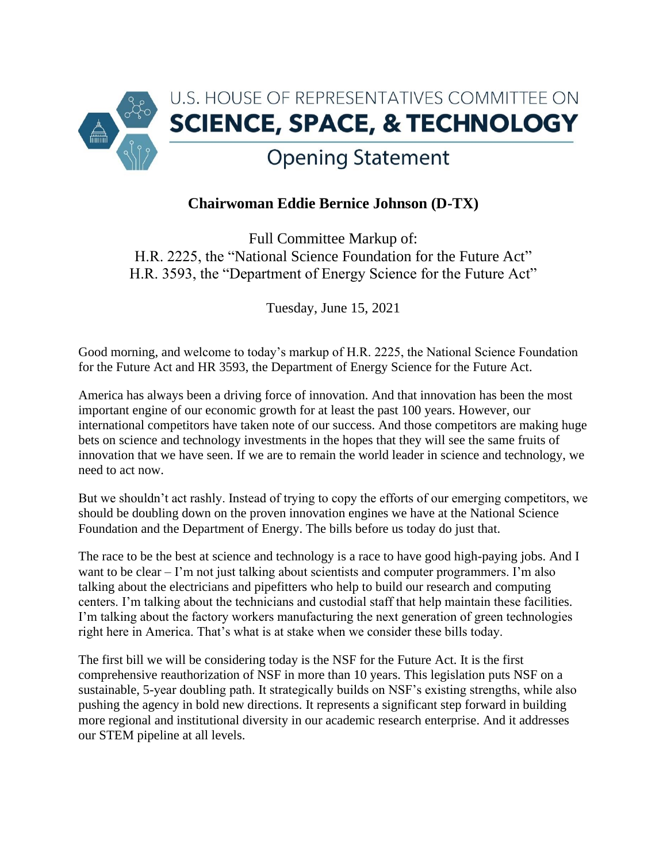

## **Chairwoman Eddie Bernice Johnson (D-TX)**

Full Committee Markup of: H.R. 2225, the "National Science Foundation for the Future Act" H.R. 3593, the "Department of Energy Science for the Future Act"

Tuesday, June 15, 2021

Good morning, and welcome to today's markup of H.R. 2225, the National Science Foundation for the Future Act and HR 3593, the Department of Energy Science for the Future Act.

America has always been a driving force of innovation. And that innovation has been the most important engine of our economic growth for at least the past 100 years. However, our international competitors have taken note of our success. And those competitors are making huge bets on science and technology investments in the hopes that they will see the same fruits of innovation that we have seen. If we are to remain the world leader in science and technology, we need to act now.

But we shouldn't act rashly. Instead of trying to copy the efforts of our emerging competitors, we should be doubling down on the proven innovation engines we have at the National Science Foundation and the Department of Energy. The bills before us today do just that.

The race to be the best at science and technology is a race to have good high-paying jobs. And I want to be clear – I'm not just talking about scientists and computer programmers. I'm also talking about the electricians and pipefitters who help to build our research and computing centers. I'm talking about the technicians and custodial staff that help maintain these facilities. I'm talking about the factory workers manufacturing the next generation of green technologies right here in America. That's what is at stake when we consider these bills today.

The first bill we will be considering today is the NSF for the Future Act. It is the first comprehensive reauthorization of NSF in more than 10 years. This legislation puts NSF on a sustainable, 5-year doubling path. It strategically builds on NSF's existing strengths, while also pushing the agency in bold new directions. It represents a significant step forward in building more regional and institutional diversity in our academic research enterprise. And it addresses our STEM pipeline at all levels.